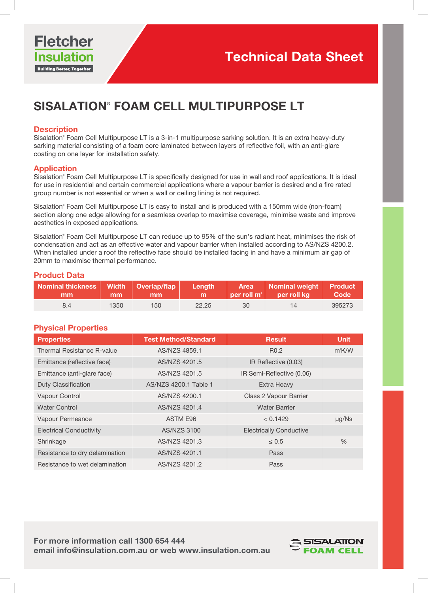

# SISALATION® FOAM CELL MULTIPURPOSE LT

#### **Description**

Sisalation® Foam Cell Multipurpose LT is a 3-in-1 multipurpose sarking solution. It is an extra heavy-duty sarking material consisting of a foam core laminated between layers of reflective foil, with an anti-glare coating on one layer for installation safety.

#### **Application**

Sisalation® Foam Cell Multipurpose LT is specifically designed for use in wall and roof applications. It is ideal for use in residential and certain commercial applications where a vapour barrier is desired and a fire rated group number is not essential or when a wall or ceiling lining is not required.

Sisalation® Foam Cell Multipurpose LT is easy to install and is produced with a 150mm wide (non-foam) section along one edge allowing for a seamless overlap to maximise coverage, minimise waste and improve aesthetics in exposed applications.

Sisalation® Foam Cell Multipurpose LT can reduce up to 95% of the sun's radiant heat, minimises the risk of condensation and act as an effective water and vapour barrier when installed according to AS/NZS 4200.2. When installed under a roof the reflective face should be installed facing in and have a minimum air gap of 20mm to maximise thermal performance.

#### Product Data

| Nominal thickness   Width   Overlap/flap   Length   Area   Nominal weight   Product<br>$\mathbf{m}\mathbf{m}$ |      | $\parallel$ mm $\parallel$ mm $\parallel$ m |       |    | per roll m <sup>2</sup> per roll kg code |        |
|---------------------------------------------------------------------------------------------------------------|------|---------------------------------------------|-------|----|------------------------------------------|--------|
| 84                                                                                                            | 1350 | 150 <sup>°</sup>                            | 22.25 | 30 | 14                                       | 395273 |

#### Physical Properties

| <b>Properties</b>              | <b>Test Method/Standard</b> | <b>Result</b>                  | <b>Unit</b>   |
|--------------------------------|-----------------------------|--------------------------------|---------------|
| Thermal Resistance R-value     | AS/NZS 4859.1               | R <sub>0.2</sub>               | $m^2$ K/W     |
| Emittance (reflective face)    | AS/NZS 4201.5               | IR Reflective (0.03)           |               |
| Emittance (anti-glare face)    | AS/NZS 4201.5               | IR Semi-Reflective (0.06)      |               |
| <b>Duty Classification</b>     | AS/NZS 4200.1 Table 1       | Extra Heavy                    |               |
| Vapour Control                 | AS/NZS 4200.1               | Class 2 Vapour Barrier         |               |
| <b>Water Control</b>           | AS/NZS 4201.4               | <b>Water Barrier</b>           |               |
| Vapour Permeance               | ASTM E96                    | < 0.1429                       | $\mu$ g/Ns    |
| <b>Electrical Conductivity</b> | <b>AS/NZS 3100</b>          | <b>Electrically Conductive</b> |               |
| Shrinkage                      | AS/NZS 4201.3               | $\leq 0.5$                     | $\frac{0}{0}$ |
| Resistance to dry delamination | AS/NZS 4201.1               | Pass                           |               |
| Resistance to wet delamination | AS/NZS 4201.2               | Pass                           |               |

For more information call 1300 654 444 email info@insulation.com.au or web www.insulation.com.au